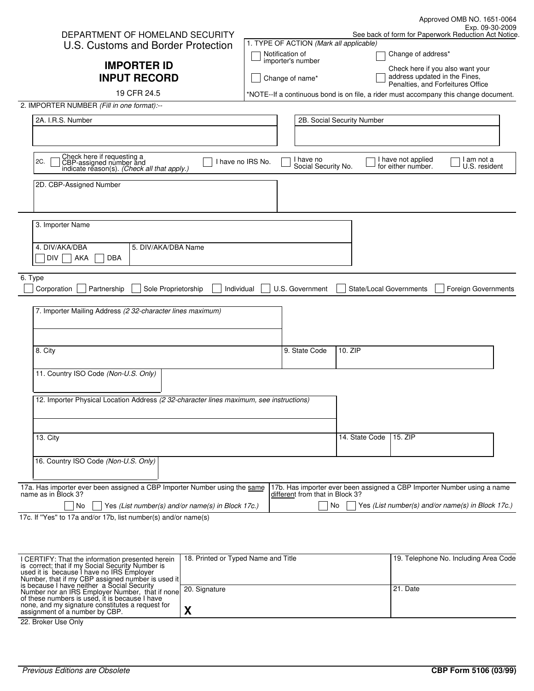|                                                                                                                                  |                                         |                                | Approved OMB NO. 1651-0064                                                           |  |
|----------------------------------------------------------------------------------------------------------------------------------|-----------------------------------------|--------------------------------|--------------------------------------------------------------------------------------|--|
| DEPARTMENT OF HOMELAND SECURITY                                                                                                  |                                         |                                | Exp. 09-30-2009<br>See back of form for Paperwork Reduction Act Notice.              |  |
| U.S. Customs and Border Protection                                                                                               | 1. TYPE OF ACTION (Mark all applicable) |                                |                                                                                      |  |
|                                                                                                                                  | Notification of<br>importer's number    |                                | Change of address*                                                                   |  |
| <b>IMPORTER ID</b>                                                                                                               |                                         |                                | Check here if you also want your                                                     |  |
| <b>INPUT RECORD</b>                                                                                                              | Change of name*                         |                                | address updated in the Fines,<br>Penalties, and Forfeitures Office                   |  |
| 19 CFR 24.5                                                                                                                      |                                         |                                | *NOTE--If a continuous bond is on file, a rider must accompany this change document. |  |
| 2. IMPORTER NUMBER (Fill in one format):--                                                                                       |                                         |                                |                                                                                      |  |
| 2A. I.R.S. Number                                                                                                                |                                         | 2B. Social Security Number     |                                                                                      |  |
|                                                                                                                                  |                                         |                                |                                                                                      |  |
|                                                                                                                                  |                                         |                                |                                                                                      |  |
|                                                                                                                                  |                                         |                                |                                                                                      |  |
| Check here if requesting a<br>CBP-assigned number and<br>indicate reason(s). (Check all that apply.)<br>2C.<br>I have no IRS No. | I have no<br>Social Security No.        |                                | I have not applied<br>I am not a<br>for either number.<br>U.S. resident              |  |
| 2D. CBP-Assigned Number                                                                                                          |                                         |                                |                                                                                      |  |
|                                                                                                                                  |                                         |                                |                                                                                      |  |
|                                                                                                                                  |                                         |                                |                                                                                      |  |
| 3. Importer Name                                                                                                                 |                                         |                                |                                                                                      |  |
|                                                                                                                                  |                                         |                                |                                                                                      |  |
| 4. DIV/AKA/DBA<br>5. DIV/AKA/DBA Name                                                                                            |                                         |                                |                                                                                      |  |
| DIV<br>AKA<br>DBA                                                                                                                |                                         |                                |                                                                                      |  |
|                                                                                                                                  |                                         |                                |                                                                                      |  |
| 6. Type                                                                                                                          |                                         |                                |                                                                                      |  |
| Corporation<br>Partnership<br>Sole Proprietorship<br>Individual                                                                  | U.S. Government                         | <b>State/Local Governments</b> | <b>Foreign Governments</b>                                                           |  |
| 7. Importer Mailing Address (2 32-character lines maximum)                                                                       |                                         |                                |                                                                                      |  |
|                                                                                                                                  |                                         |                                |                                                                                      |  |
|                                                                                                                                  |                                         |                                |                                                                                      |  |
| 8. City                                                                                                                          | 9. State Code                           | 10. ZIP                        |                                                                                      |  |
|                                                                                                                                  |                                         |                                |                                                                                      |  |
| 11. Country ISO Code (Non-U.S. Only)                                                                                             |                                         |                                |                                                                                      |  |
|                                                                                                                                  |                                         |                                |                                                                                      |  |
| 12. Importer Physical Location Address (2 32-character lines maximum, see instructions)                                          |                                         |                                |                                                                                      |  |
|                                                                                                                                  |                                         |                                |                                                                                      |  |
|                                                                                                                                  |                                         |                                |                                                                                      |  |
|                                                                                                                                  |                                         |                                |                                                                                      |  |
| 13. City                                                                                                                         |                                         | 14. State Code                 | 15. ZIP                                                                              |  |
| 16. Country ISO Code (Non-U.S. Only)                                                                                             |                                         |                                |                                                                                      |  |
|                                                                                                                                  |                                         |                                |                                                                                      |  |
|                                                                                                                                  |                                         |                                |                                                                                      |  |
| 17a. Has importer ever been assigned a CBP Importer Number using the same<br>name as in Block 3?                                 | different from that in Block 3?         |                                | 17b. Has importer ever been assigned a CBP Importer Number using a name              |  |
| No<br>Yes (List number(s) and/or name(s) in Block 17c.)                                                                          |                                         | No                             | Yes (List number(s) and/or name(s) in Block 17c.)                                    |  |

17c. If ''Yes'' to 17a and/or 17b, list number(s) and/or name(s)

| I CERTIFY: That the information presented herein<br>is correct; that if my Social Security Number is<br>used it is because I have no IRS Employer<br>Number, that if my CBP assigned number is used it | 18. Printed or Typed Name and Title | 19. Telephone No. Including Area Code |
|--------------------------------------------------------------------------------------------------------------------------------------------------------------------------------------------------------|-------------------------------------|---------------------------------------|
| is because I have neither a Social Security<br>Number nor an IRS Employer Number, that if none<br>of these numbers is used, it is because I have                                                       | 20. Signature                       | l 21. Date                            |
| none, and my signature constitutes a request for<br>assignment of a number by CBP.                                                                                                                     |                                     |                                       |

22. Broker Use Only